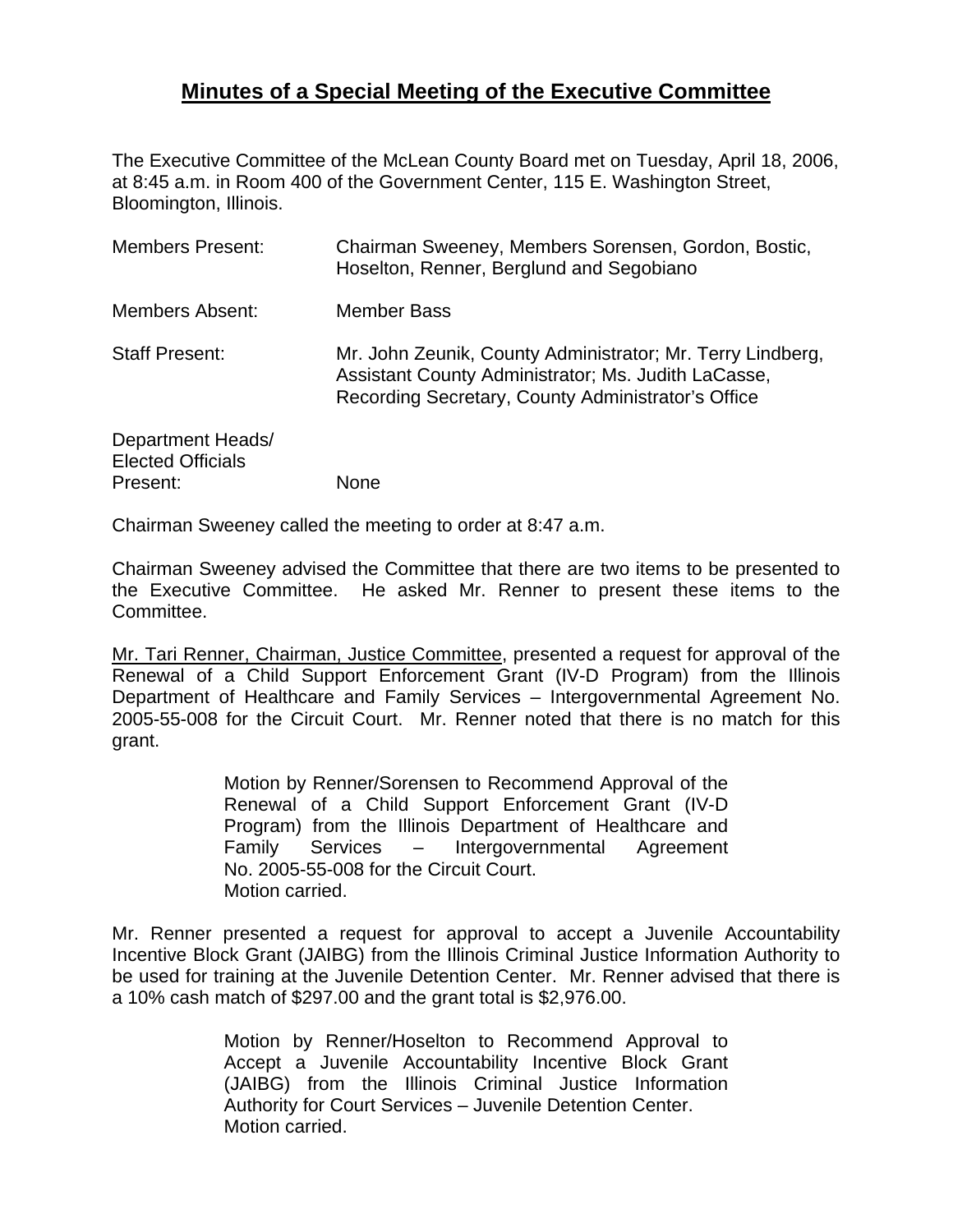## **Minutes of a Special Meeting of the Executive Committee**

The Executive Committee of the McLean County Board met on Tuesday, April 18, 2006, at 8:45 a.m. in Room 400 of the Government Center, 115 E. Washington Street, Bloomington, Illinois.

| <b>Members Present:</b>                                   | Chairman Sweeney, Members Sorensen, Gordon, Bostic,<br>Hoselton, Renner, Berglund and Segobiano                                                                         |
|-----------------------------------------------------------|-------------------------------------------------------------------------------------------------------------------------------------------------------------------------|
| <b>Members Absent:</b>                                    | <b>Member Bass</b>                                                                                                                                                      |
| <b>Staff Present:</b>                                     | Mr. John Zeunik, County Administrator; Mr. Terry Lindberg,<br>Assistant County Administrator; Ms. Judith LaCasse,<br>Recording Secretary, County Administrator's Office |
| Department Heads/<br><b>Elected Officials</b><br>Present: | None                                                                                                                                                                    |

Chairman Sweeney called the meeting to order at 8:47 a.m.

Chairman Sweeney advised the Committee that there are two items to be presented to the Executive Committee. He asked Mr. Renner to present these items to the Committee.

Mr. Tari Renner, Chairman, Justice Committee, presented a request for approval of the Renewal of a Child Support Enforcement Grant (IV-D Program) from the Illinois Department of Healthcare and Family Services – Intergovernmental Agreement No. 2005-55-008 for the Circuit Court. Mr. Renner noted that there is no match for this grant.

> Motion by Renner/Sorensen to Recommend Approval of the Renewal of a Child Support Enforcement Grant (IV-D Program) from the Illinois Department of Healthcare and Family Services – Intergovernmental Agreement No. 2005-55-008 for the Circuit Court. Motion carried.

Mr. Renner presented a request for approval to accept a Juvenile Accountability Incentive Block Grant (JAIBG) from the Illinois Criminal Justice Information Authority to be used for training at the Juvenile Detention Center. Mr. Renner advised that there is a 10% cash match of \$297.00 and the grant total is \$2,976.00.

> Motion by Renner/Hoselton to Recommend Approval to Accept a Juvenile Accountability Incentive Block Grant (JAIBG) from the Illinois Criminal Justice Information Authority for Court Services – Juvenile Detention Center. Motion carried.